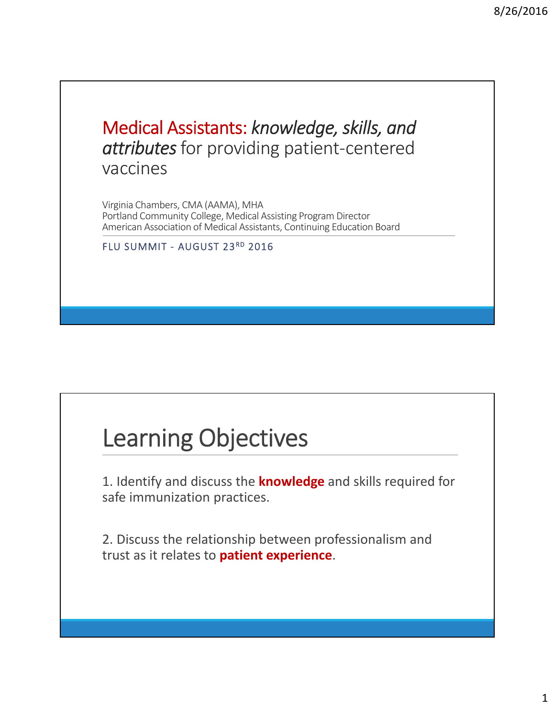#### Medical Assistants: *knowledge, skills, and attributes*for providing patient‐centered vaccines

Virginia Chambers, CMA (AAMA), MHA Portland Community College, Medical Assisting Program Director American Association of Medical Assistants, Continuing Education Board

FLU SUMMIT ‐ AUGUST 23RD 2016

#### Learning Objectives

1. Identify and discuss the **knowledge** and skills required for safe immunization practices.

2. Discuss the relationship between professionalism and trust as it relates to **patient experience**.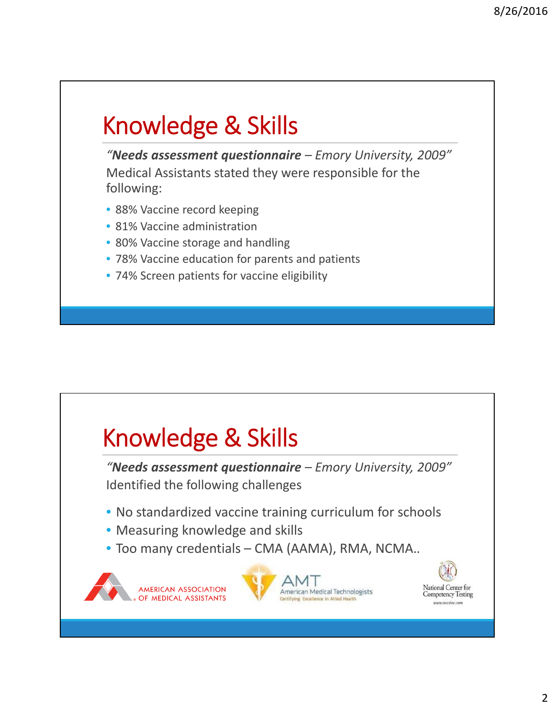# Knowledge & Skills

*"Needs assessment questionnaire – Emory University, 2009"* Medical Assistants stated they were responsible for the following:

- 88% Vaccine record keeping
- 81% Vaccine administration
- 80% Vaccine storage and handling
- 78% Vaccine education for parents and patients
- 74% Screen patients for vaccine eligibility

# Knowledge & Skills

*"Needs assessment questionnaire – Emory University, 2009"* Identified the following challenges

- No standardized vaccine training curriculum for schools
- Measuring knowledge and skills
- Too many credentials CMA (AAMA), RMA, NCMA…





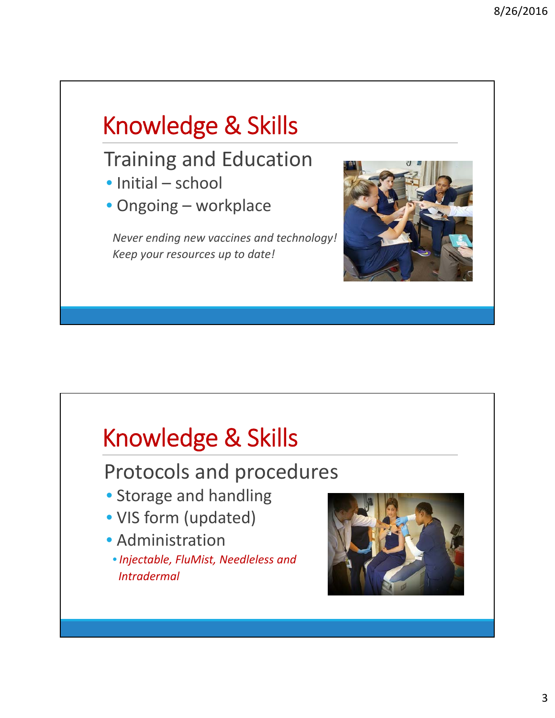# Knowledge & Skills

#### Training and Education

- Initial school
- Ongoing workplace

*Never ending new vaccines and technology! Keep your resources up to date!*



### Knowledge & Skills

Protocols and procedures

- Storage and handling
- VIS form (updated)
- Administration

•*Injectable, FluMist, Needleless and Intradermal* 

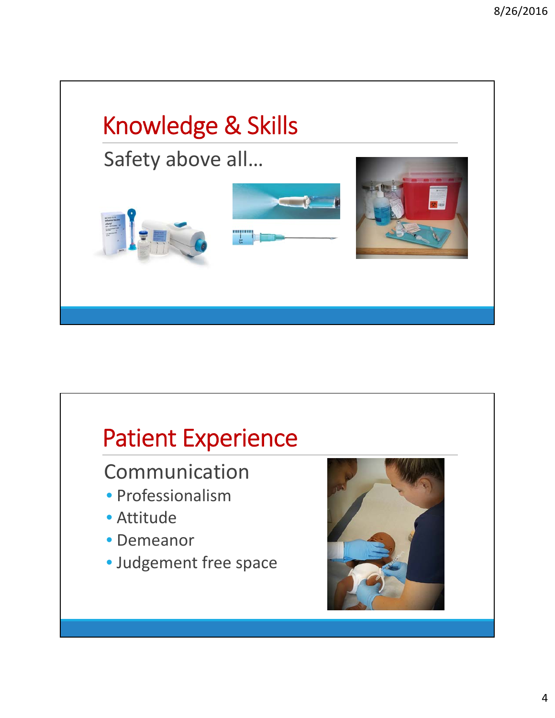

- Communication
- Professionalism
- Attitude
- Demeanor
- Judgement free space

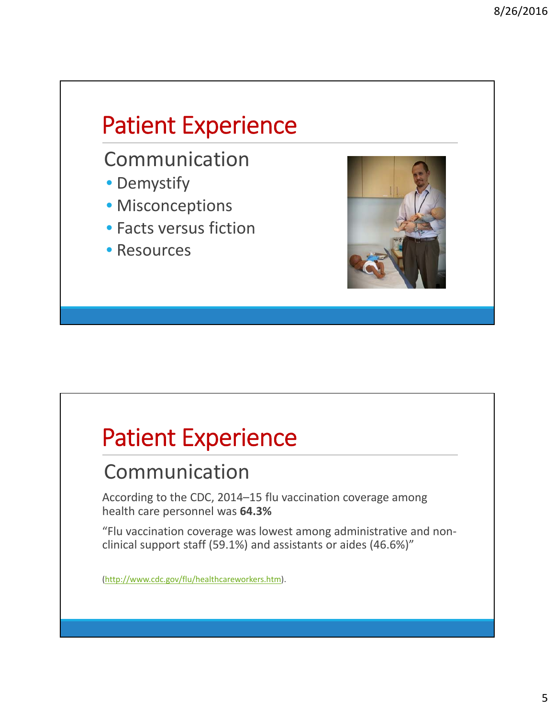- Communication
- Demystify
- Misconceptions
- Facts versus fiction
- Resources



### Patient Experience

#### Communication

According to the CDC, 2014–15 flu vaccination coverage among health care personnel was **64.3%**

"Flu vaccination coverage was lowest among administrative and non‐ clinical support staff (59.1%) and assistants or aides (46.6%)"

(http://www.cdc.gov/flu/healthcareworkers.htm).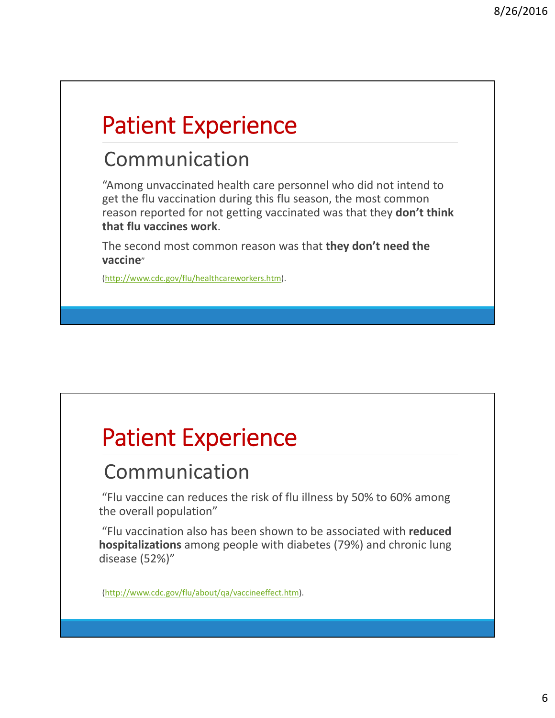#### Communication

"Among unvaccinated health care personnel who did not intend to get the flu vaccination during this flu season, the most common reason reported for not getting vaccinated was that they **don't think that flu vaccines work**.

The second most common reason was that **they don't need the vaccine**"

(http://www.cdc.gov/flu/healthcareworkers.htm).

### Patient Experience

#### Communication

"Flu vaccine can reduces the risk of flu illness by 50% to 60% among the overall population"

"Flu vaccination also has been shown to be associated with **reduced hospitalizations** among people with diabetes (79%) and chronic lung disease (52%)"

(http://www.cdc.gov/flu/about/qa/vaccineeffect.htm).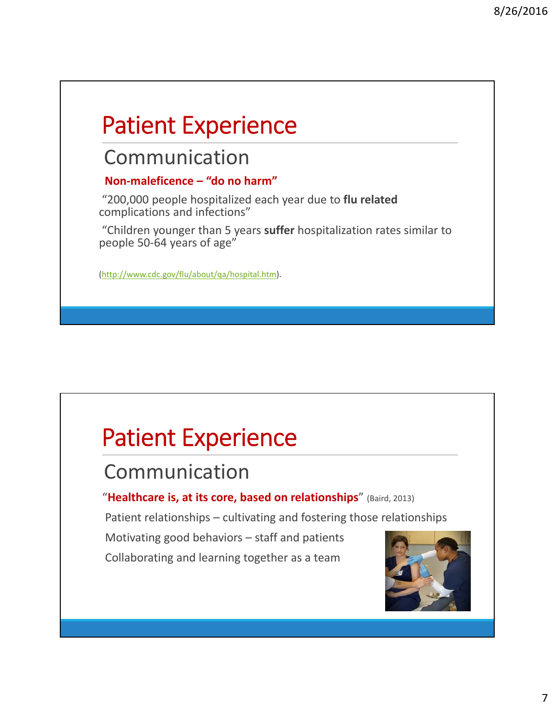#### Communication

#### **Non‐maleficence – "do no harm"**

"200,000 people hospitalized each year due to **flu related**  complications and infections"

"Children younger than <sup>5</sup> years **suffer** hospitalization rates similar to people <sup>50</sup>‐<sup>64</sup> years of age"

(http://www.cdc.gov/flu/about/qa/hospital.htm).

### Patient Experience

#### Communication

"**Healthcare is, at its core, based on relationships**" (Baird, 2013)

Patient relationships – cultivating and fostering those relationships

Motivating good behaviors – staff and patients Collaborating and learning together as a team

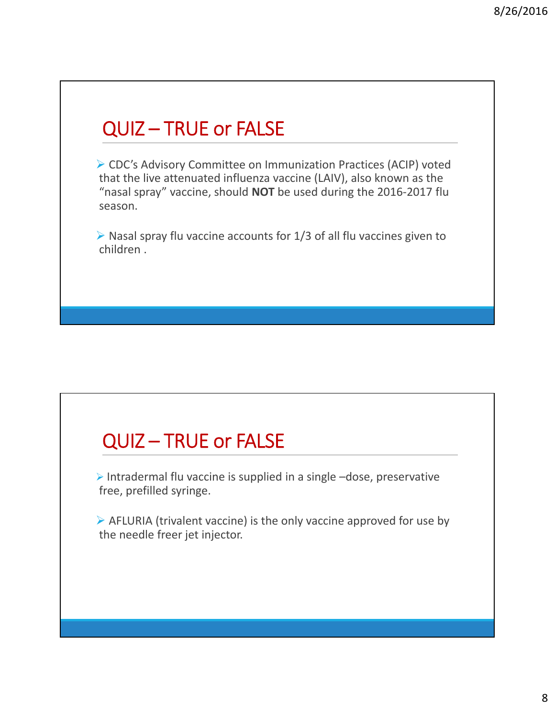#### QUIZ – TRUE or FALSE

 CDC's Advisory Committee on Immunization Practices (ACIP) voted that the live attenuated influenza vaccine (LAIV), also known as the "nasal spray" vaccine, should **NOT** be used during the 2016‐2017 flu season.

 $\triangleright$  Nasal spray flu vaccine accounts for 1/3 of all flu vaccines given to children .

#### QUIZ – TRUE or FALSE

Intradermal flu vaccine is supplied in a single  $-dose$ , preservative free, prefilled syringe.

 $\triangleright$  AFLURIA (trivalent vaccine) is the only vaccine approved for use by the needle freer jet injector.